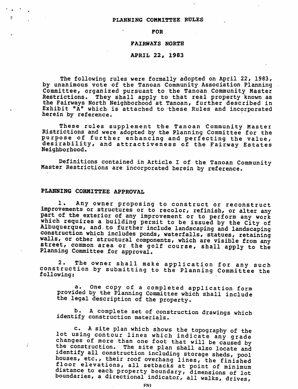### PLANNING COMMITTEE RULES

#### FOR

# FAIRWAYS NORTH

### APRIL 22, 1983

The following rules were formally adopted on April 22, 1983, by unanimous vote of the Tanoan Community Association Planning Committee, organized pursuant to the Tanoan Community Master Restrictions, They shall apply to that real property known as the Fairways North Neighborhood at Tanoan, further described in Exhibit "A" which is attached to these Rules and incorporated herein by reference.

These rules supplement the Tanoan Community Master Ristrictions and were adopted by the Planning Committee for the purpose of further enhancing and perfecting the value, desirability, and attractiveness of the Fairway Estates Neighborhood.

Definitions contained in Article <sup>I</sup> of the Tanoan Community Master Restrictions are incorporated herein by reference.

# *PLANNING COMMITTEE APPROVAL*

÷

1. Any owner proposing to construct or reconstruct improvements or structures or to recolor, refinish, or alter any part of the exterior of any improvement or to perform any work which requires a building permit to be issued by the City of<br>Albuquerque, and to further include landscaping and landscaping construction which includes ponds, waterfalls, statues, retaining<br>walls, or other structural components, which are visible from any<br>street, common area or the golf course, shall apply to the Planning Committee for approval.

2. The owner shall make application for any such construction by submitting to the Planning Committee the following:

a. One copy of <sup>a</sup> completed application form provided by the Planning Committee which shall include the legal description of the property.

b. A complete set of construction drawings which identify construction materials.

c. A site plan which shows the topography of the<br>lot using contour lines which indicate any grade changes of more than one foot that will be caused by the construction. The site plan shall also locate and identify all construction including storage sheds, pool houses, etc., their roof overhang lines, the finished floor elevations, all setbacks at point of minimum distance to each property boundary, dimensions of lot boundaries, a directional indicator, all walks, drives,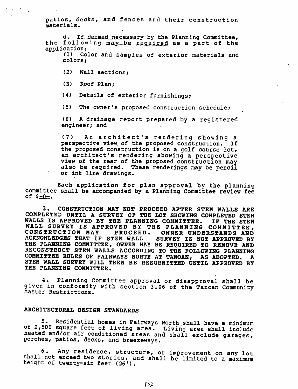patios, decks, and fences and their construction materials.

d. If deemed necessary by the Planning Committee, the following may be required as a part of the application:<br>(1) Co.

Color and samples of exterior materials and colors;

- (2) Wall sections;
- (3) Roof Plan;

(4) Details of exterior furnishings;

(5) The owner's proposed construction schedule;

(6) <sup>A</sup> drainage report prepared by <sup>a</sup> registered engineer; and

(7) An architect's rendering showing <sup>a</sup> perspective view of the proposed construction. If the proposed construction is on <sup>a</sup> golf course lot, an architect's rendering showing <sup>a</sup> perspective view of the rear of the proposed construction may also be required. These renderings may be pencil or ink line drawings.

Each application for plan approval by the planning committee shall be accompanied by a Planning Committee review fee  $of$   $$-0-.$ 

*3\* CONSTRUCTION MAY NOT PROCEED AFTER STEM WALLS ARE COMPLETED UNTIL A SURVEY OF THE LOT SHOWING COMPLETED STEM WALLS IS APPROVED BY THE PLANNING COMMITTEE. IF THE STEM WALL SURVEY IS APPROVED BY THE PLANNING COMMITTEE , CONSTRUCTION MAY PROCEED. OWNER UNDERSTANDS AND ACKNOWLEDGES THAT IF STEM WALL SURVEY IS NOT APPROVED BY THE PLANNING COMMITTEE, OWNER MAY BE REQUIRED TO REMOVE AND RECONSTRUCT STEM WALLS ACCORDING TO THE FOLLOWING PLANNING COMMITTEE RULES OF FAIRWAYS NORTH AT TANOAN, AS ADOPTED. A STEM WALL SURVEY WILL THEN BE RESUBMITTED UNTIL APPROVED BY THE PLANNING COMMITTEE.*

*4.* Planning Committee approval or disapproval shall be given in conformity with section 3.06 of the Tanoan Community Master Restrictions.

### *ARCHITECTURAL DESIGN STANDARDS*

5. Residential homes in Fairways North shall have a minimum of 2,500 square feet of living area. Living area shall include heated and/or air conditioned areas and shall exclude garages, porches, patios, decks, and breezeways.

6. Any residence, structure, or improvement on any lot shall not exceed two stories, and shall be limited to a maximum height of twenty-six feet (26').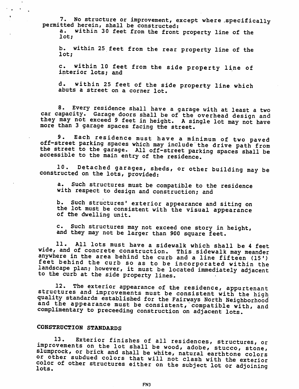7. No structure or improvement, except where .specifically permitted herein, shall be constructed:

a. within 30 feet from the front property line of the lot;

b. within 25 feet from the rear property line of the lot;

c. within 10 feet from the side property line of interior lots; and

d. within 25 feet of the side property line which abuts a street on a corner lot.

8. Every residence shall have a garage with at least a two car capacity. Garage doors shall be of the overhead design and they may not exceed 9 feet in height. A single lot may not have more than 3 garage spaces facing the street.

9. Each residence must have <sup>a</sup> minimum of two paved off-street parking spaces which may include the drive path from the street to the garage. All off-street parking spaces shall be accessible to the main entry of the residence.

10. Detached garages, sheds, or other building may be constructed on the lots, provided:

a. Such structures must be compatible to the residence with respect to design and construction; and

b. Such structures' exterior appearance and siting on the lot must be consistent with the visual appearance of the dwelling unit.

c. Such structures may not exceed one story in height, and they may not be larger than 900 square feet.

11. All lots must have a sidewalk which shall be 4 feet wide, and of concrete construction. This sidewalk may meander anywhere in the area behind the curb and a line fifteen (15') feet behind the curb so as to be incorporated within the landscape plan; however, it must be located immediately adjacent to the curb at the side property lines.

12. The exterior appearance of the residence, appurtenant structures and improvements must be consistent with the high quality standards established for the Fairways North Neighborhood' and the appearance must be consistent, compatible with, and complimentary to preceeding construction on adjacent lots.

# CONSTRUCTION STANDARDS

 $\sim$  $\pmb{\mathsf{s}}$ 

> 13. Exterior finishes of all residences, structures, or improvements on the lot shall be wood, adobe, stucco, stone, slumprock, or brick and shall be white, natural earthtone colors or other subdued colors that will not clash with the exterior color of other structures either on the subject lot or adjoining<br>lots.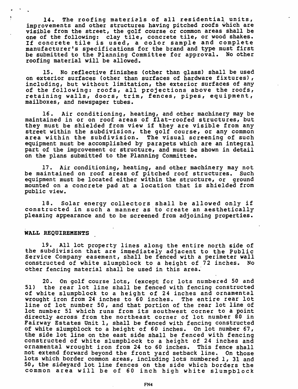*14. The roofing materials of all residential units, improvements and other structures having pitched roofs which are visible from the street, the golf course or common areas shall be one of the following: clay tile, concrete tile, or wood shakes. If concrete tile is used, <sup>a</sup> color sample and complete manufacturer's specifications for the brand and type must first be submitted to the Planning Committee for approval. No other roofing material will be allowed.*

*15. No reflective finishes (other than glass) shall be used on exterior surfaces (other than surfaces of hardware fixtures) , including, but without limitation, the exterior surfaces of any of the following: roofs, all projections above the roofs, retaining walls, doors, trim, fences, pipes, equipment, mailboxes, and newspaper tubes.*

*16. Air conditioning, heating, and other machinery may be maintained in or on roof areas of flat-roofed structures, but they must be shielded from view if they are visible from any street within the subdivision, the golf course, or any common area within the subdivision. The visual screening of such equipment must be accomplished by parapets which are an integral part of the improvement or structure, and must be shown in detail on the plans submitted to the Planning Committee.*

*17. Air conditioning, heating, and other machinery may not be maintained on roof areas of pitched roof structures. Such equipment must be located either within the structure, or ground mounted on <sup>a</sup> concrete pad at <sup>a</sup> location that is shielded from public view.*

*18. Solar energy collectors shall be allowed only if constructed in such <sup>a</sup> manner as to create an aesthetically pleasing appearance and to be screened from adjoining properties.*

### WALL REQUIREMENTS

19. All lot property lines along the entire north side of the subdivision that are immediately adjacent to the Public Service Company easement, shall be fenced with a perimeter wall constructed of white slumpblock to a height of 72 inches. No other fencing material shall be used in this area.

20. On golf course lots, (except for lots numbered 50 and 51) the rear lot line shall be fenced with fencing constructed of white slumpblock to a height of 24 inches and ornamental wrought iron from 24 inches to 60 inches. The entire rear lot line of lot number 50, and that portion of the rear lot line of lot number 51 which runs from its southwest corner to a point directly across from the northeast corner of lot number 80 in Fairway Estates Unit 1, shall be fenced with fencing constructed of white slumpblock to a height of 60 inches. On lot number 67, the side lot line on the east side shall be fenced with fencing constructed of white slumpblock to a height of 24 inches and ornamental wrought iron from 24 to 60 inches. This fence shall not extend forward beyond the front yard setback line. On those lots which border common areas, including lots numbered 1, 31 and 50, the sideyard lot line fences on the side which borders the common area will be of 60 inch high white slumpblock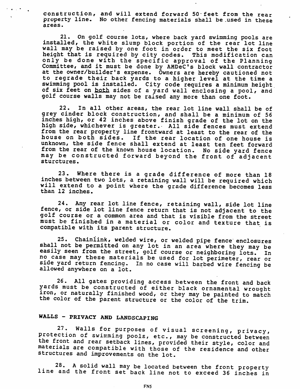construction, and will extend forward 50-feet from the rear property line. No other fencing materials shall be .used in these areas.

21. On golf course lots, where back yard swimming pools are installed, the white slump block portion of the rear lot line wall may be raised by one foot in order to meet the six foot height that is required by city codes. This modification can only be done with the specific approval of the Planning Committee, and it must be done by AMDeC's block wall contractor at the owner/builder's expense. Owners are hereby cautioned not to regrade their back yards to a higher level at the time a swimming pool is installed. City code requires a minimum height of six feet on both sides of a yard wall enclosing a pool, and golf course walls may not be raised any more than one foot.

22. In all other areas, the rear lot line wall shall be of grey cinder block construction, and shall be a minimum of 56 inches high, or 42 inches above finish grade of the lot on the high side, whichever is greater. All side fences must extend from the rear property line frontward at least to the rear of the house on both sides. If the rear location of one house is unknown, the side fence shall extend at least ten feet forward from the rear of the known house location. No side yard fence may be constructed forward beyond the front of adjacent sturctures.

23. Where there is a grade difference of more than 18 inches between two lots, a retaining wall will be required which will extend to a point where the grade difference becomes less than 12 inches.

24. Any rear lot line fence, retaining wall, side lot line fence, or side lot line fence return that is not adjacent to the golf course or a common area and that is visible from the street must be finished in a material or color and texture that is compatible with its parent structure.

25. Chainiink, welded wire, or welded pipe fence enclosures shall not be permitted on any lot in an area where they may be easily seen from the street, golf course or neighboring lots. In no case may these materials be used for lot perimeter, rear or side yard return fencing, in no case will barbed wire fencing be allowed anywhere on a lot.

26. All gates providing access between the front and back yards must be constructed of either black ornamental wrought iron, or naturally finished wood, or they may be painted to match the color of the parent structure or the color of the trim.

# WALLS - PRIVACY AND LANDSCAPING

27. Walls for purposes of visual screening, privacy, protection of swimming pools, etc., may be constructed between the front and rear setback lines, provided their style, color and materials are compatible with those of the residence and other structures and improvements on the lot.

28. A solid wall may be located between the front property line and the front set back line not to exceed 36 inches in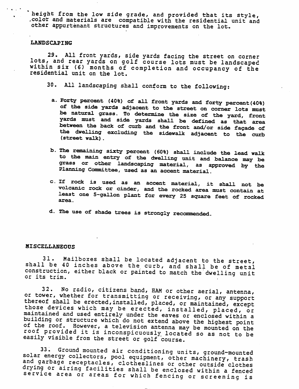*height from the low side grade, and provided that its style, .color and materials are compatible with the residential unit and other appurtenant structures and improvements on the lot..*

### *LANDSCAPING*

 $\mathcal{C}^{\mathcal{A}}$  and  $\mathcal{C}^{\mathcal{A}}$ 

29. All front yards, side yards facing the street on corner lots, and rear yards on golf course lots must be landscaped within six (6) months of completion and occupancy of the residential unit on the lot.

30. All landscaping shall conform to the following:

- a. Forty percent (40%) of all front yards and forty percent(40%) of the side yards adjacent to the street on corner lots must be natural grass. To determine the size of the yard, front yards must and side yards shall be defined as that area between the back of curb and the front and/or side facade of the dwelling excluding the sidewalk adjacent to the curb (street walk).
- b. The remaining sixty percent (60%) shall include the lead walk to the main entry of the dwelling unit and balance may be grass or other landscaping material, as approved by the Planning Committee, used as an accent material.
- c. If rock is used as an accent material, it shall not be volcanic rock or cinder, and the rocked area must contain at least one 5-gallon plant for every <sup>25</sup> square feet of rocked area.
- d. The use of shade trees is strongly recommended.

### **MISCELLANEOUS**

*31. Mailboxes shall be located adjacent to the street, shall be 40 inches above the curb, and shall be of metal construction, either black or painted to match the'dwellinq unit or its trim.*

*32. No radio, citizens band, HAM or other aerial, antenna,* thereof shall be erected, installed, placed, or maintained, except those devices which may be erected, installed, placed, or *maintained and used entirely under the eaves or enclosed within a* of the roof. However, a television antenna may be mounted on the *roof provided it is inconspicuously located so as not to be easily visible from the street or golf 'course.*

*c5ni3r3i^.Gr°Unf1m0!!nted air conditioning units, ground-mounted fni en\*r9Y collectors, pool equipment, other machinery, trash and garbage receptacles, clotheslines or other outside clothes* drying or airing facilities shall be enclosed within a fenced<br>service area or areas for which fencing or screening is